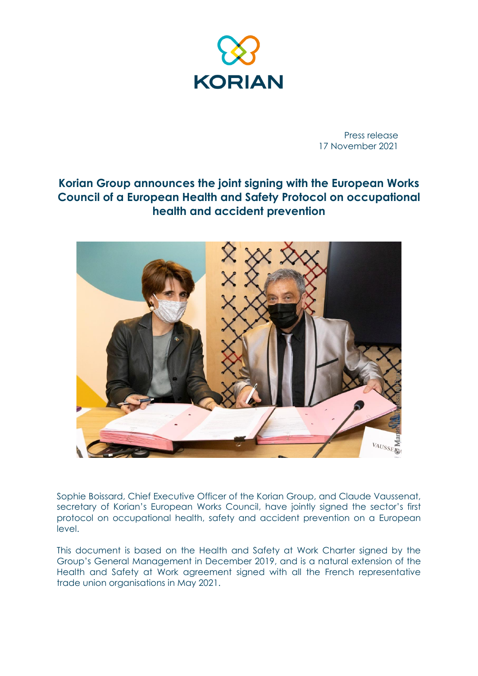

Press release 17 November 2021

## **Korian Group announces the joint signing with the European Works Council of a European Health and Safety Protocol on occupational health and accident prevention**



Sophie Boissard, Chief Executive Officer of the Korian Group, and Claude Vaussenat, secretary of Korian's European Works Council, have jointly signed the sector's first protocol on occupational health, safety and accident prevention on a European level.

This document is based on the Health and Safety at Work Charter signed by the Group's General Management in December 2019, and is a natural extension of the Health and Safety at Work agreement signed with all the French representative trade union organisations in May 2021.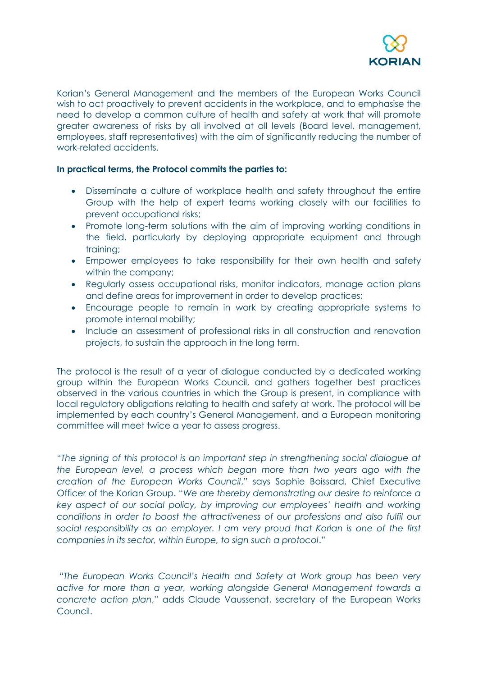

Korian's General Management and the members of the European Works Council wish to act proactively to prevent accidents in the workplace, and to emphasise the need to develop a common culture of health and safety at work that will promote greater awareness of risks by all involved at all levels (Board level, management, employees, staff representatives) with the aim of significantly reducing the number of work-related accidents.

## **In practical terms, the Protocol commits the parties to:**

- Disseminate a culture of workplace health and safety throughout the entire Group with the help of expert teams working closely with our facilities to prevent occupational risks;
- Promote long-term solutions with the aim of improving working conditions in the field, particularly by deploying appropriate equipment and through training;
- Empower employees to take responsibility for their own health and safety within the company;
- Regularly assess occupational risks, monitor indicators, manage action plans and define areas for improvement in order to develop practices;
- Encourage people to remain in work by creating appropriate systems to promote internal mobility;
- Include an assessment of professional risks in all construction and renovation projects, to sustain the approach in the long term.

The protocol is the result of a year of dialogue conducted by a dedicated working group within the European Works Council, and gathers together best practices observed in the various countries in which the Group is present, in compliance with local regulatory obligations relating to health and safety at work. The protocol will be implemented by each country's General Management, and a European monitoring committee will meet twice a year to assess progress.

"*The signing of this protocol is an important step in strengthening social dialogue at the European level, a process which began more than two years ago with the creation of the European Works Council*," says Sophie Boissard, Chief Executive Officer of the Korian Group. "*We are thereby demonstrating our desire to reinforce a key aspect of our social policy, by improving our employees' health and working conditions in order to boost the attractiveness of our professions and also fulfil our social responsibility as an employer. I am very proud that Korian is one of the first companies in its sector, within Europe, to sign such a protocol*."

"*The European Works Council's Health and Safety at Work group has been very active for more than a year, working alongside General Management towards a concrete action plan*," adds Claude Vaussenat, secretary of the European Works Council.